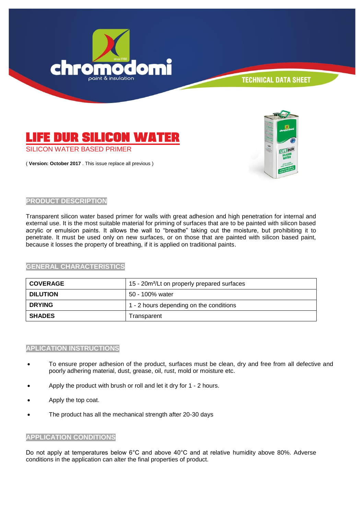



( **Version: October 2017** . This issue replace all previous )



# **PRODUCT DESCRIPTION**

Transparent silicon water based primer for walls with great adhesion and high penetration for internal and external use. It is the most suitable material for priming of surfaces that are to be painted with silicon based acrylic or emulsion paints. It allows the wall to "breathe" taking out the moisture, but prohibiting it to penetrate. It must be used only on new surfaces, or on those that are painted with silicon based paint, because it losses the property of breathing, if it is applied on traditional paints.

# **GENERAL CHARACTERISTICS**

| <b>COVERAGE</b> | 15 - 20m <sup>2</sup> /Lt on properly prepared surfaces |
|-----------------|---------------------------------------------------------|
| <b>DILUTION</b> | 50 - 100% water                                         |
| <b>DRYING</b>   | 1 - 2 hours depending on the conditions                 |
| <b>SHADES</b>   | Transparent                                             |

# **APLICATION INSTRUCTIONS**

- To ensure proper adhesion of the product, surfaces must be clean, dry and free from all defective and poorly adhering material, dust, grease, oil, rust, mold or moisture etc.
- Apply the product with brush or roll and let it dry for 1 2 hours.
- Apply the top coat.
- The product has all the mechanical strength after 20-30 days

# **APPLICATION CONDITIONS**

Do not apply at temperatures below 6°C and above 40°C and at relative humidity above 80%. Adverse conditions in the application can alter the final properties of product.